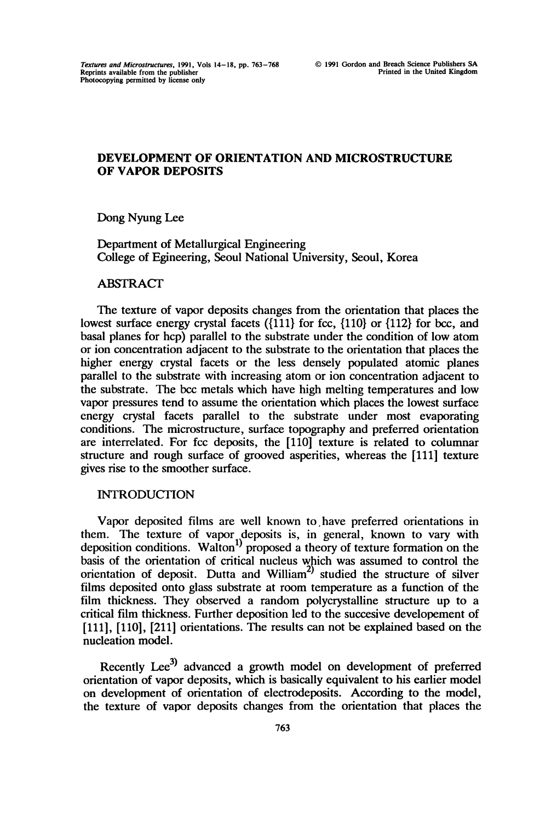## DEVELOPMENT OF ORIENTATION AND MICROSTRUCTURE OF VAPOR DEPOSITS

Dong Nyung Lee

Department of Metallurgical Engineering College of Egineering, Seoul National University, Seoul, Korea

#### **ABSTRACT**

The texture of vapor deposits changes from the orientation that places the lowest surface energy crystal facets ({111} for fcc, {110} or {112} for bcc, and basal planes for hcp) parallel to the substrate under the condition of low atom or ion concentration adjacent to the substrate to the orientation that places the higher energy crystal facets or the less densely populated atomic planes parallel to the substrate with increasing atom or ion concentration adjacent to the substrate. The bcc metals which have high melting temperatures and low vapor pressures tend to assume the orientation which places the lowest surface energy crystal facets parallel to the substrate under most evaporating conditions. The microstructure, surface topography and preferred orientation are interrelated. For fcc deposits, the [110] texture is related to columnar structure and rough surface of grooved asperities, whereas the [111] texture gives rise to the smoother surface.

## **INTRODUCTION**

Vapor deposited fihns are well known to,have preferred orientations in them. The texture of vapor deposits is, in general, known to vary with deposition conditions. Walton<sup>1)</sup> proposed a theory of texture formation on the basis of the orientation of critical nucleus which was assumed to control the orientation of deposit. Dutta and William<sup>2)</sup> studied the structure of silver films deposited onto glass substrate at room temperature as a function of the film thickness. They observed a random polycrystalline structure up to a critical film thickness. Further deposition led to the succesive developement of [111], [110], [211] orientations. The results can not be explained based on the nucleation model.

Recently Lee<sup>3)</sup> advanced a growth model on development of preferred orientation of vapor deposits, which is basically equivalent to his earlier model on development of orientation of electrodeposits. According to the model, the texture of vapor deposits changes from the orientation that places the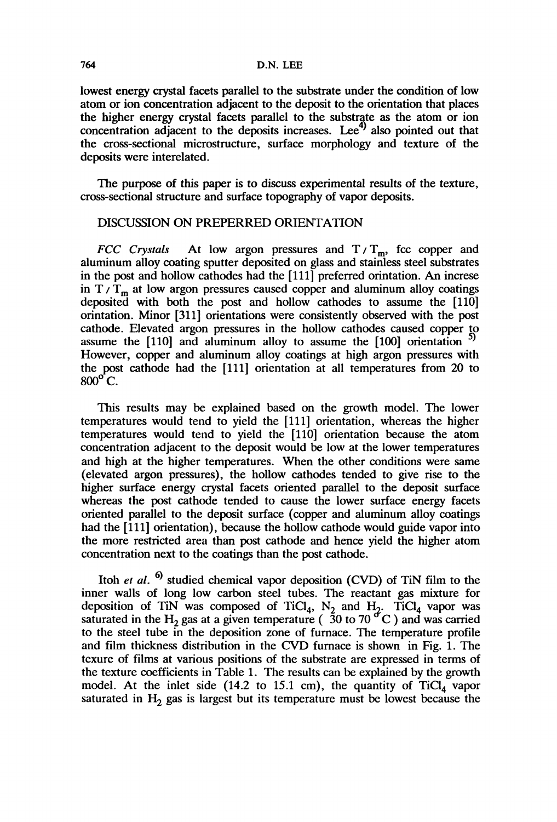lowest energy crystal facets parallel to the substrate under the condition of low atom or ion concentration adjacent to the deposit to the orientation that places the higher energy crystal facets parallel to the substrate as the atom or ion concentration adjacent to the deposits increases. Lee<sup> $4)$ </sup> also pointed out that the cross-sectional microstructure, surface morphology and texture of the deposits were interelated.

The purpose of this paper is to discuss experimental results of the texture, cross-sectional structure and surface topography of vapor deposits.

### DISCUSSION ON PREPERRED ORIENTATION

FCC Crystals At low argon pressures and  $T/T_m$ , fcc copper and aluminum alloy coating sputter deposited on glass and stainless steel substrates in the post and hollow cathodes had the [111] preferred orintation. An increse in  $T/T_m$  at low argon pressures caused copper and aluminum alloy coatings deposited with both the post and hollow cathodes to assume the [110] orintation. Minor [311] orientations were consistently observed with the post cathode. Elevated argon pressures in the hollow cathodes caused copper to assume the  $[110]$  and aluminum alloy to assume the  $[100]$  orientation However, copper and aluminum alloy coatings at high argon pressures with the post cathode had the [111] orientation at all temperatures from 20 to  $800^\circ$  C.

This results may be explained based on the growth model. The lower temperatures would tend to yield the [111] orientation, whereas the higher temperatures would tend to yield the [110] orientation because the atom concentration adjacent to the deposit would be low at the lower temperatures and high at the higher temperatures. When the other conditions were same (elevated argon pressures), the hollow cathodes tended to give rise to the higher surface energy crystal facets oriented parallel to the deposit surface whereas the post cathode tended to cause the lower surface energy facets oriented parallel to the deposit surface (copper and aluminum alloy coatings had the [111] orientation), because the hollow cathode would guide vapor into the more restricted area than post cathode and hence yield the higher atom concentration next to the coatings than the post cathode.

Itoh et al.  $\frac{6}{10}$  studied chemical vapor deposition (CVD) of TiN film to the inner walls of long low carbon steel tubes. The reactant gas mixture for deposition of TiN was composed of TiCl<sub>4</sub>, N<sub>2</sub> and H<sub>2</sub>. TiCl<sub>4</sub> vapor was saturated in the H<sub>2</sub> gas at a given temperature (30 to 70 °C) and was carried to the steel tube in the deposition zone of furnace. The temperature profile and film thickness distribution in the CVD furnace is shown in Fig. 1. The texure of films at various positions of the substrate are expressed in terms of the texture coefficients in Table 1. The results can be explained by the growth model. At the inlet side (14.2 to 15.1 cm), the quantity of  $TiCl<sub>4</sub>$  vapor saturated in  $H_2$  gas is largest but its temperature must be lowest because the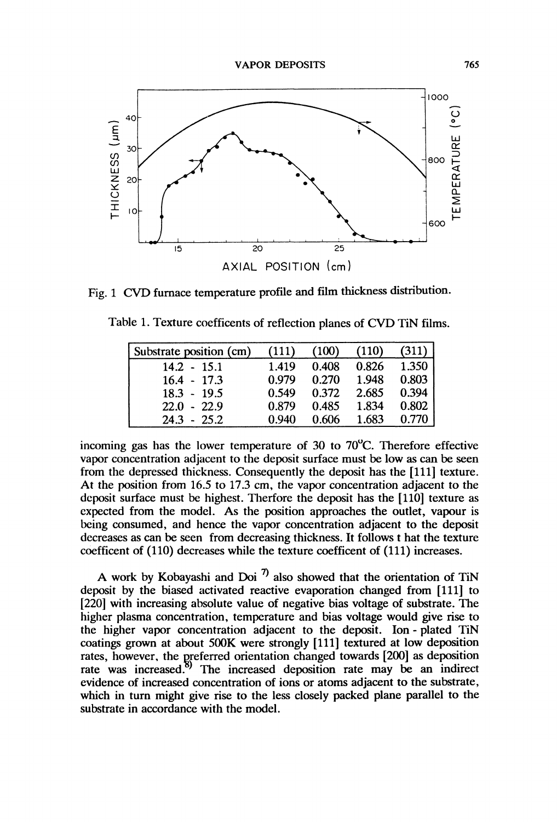

Fig. <sup>1</sup> CVD furnace temperature profile and film thickness distribution.

| Substrate position (cm) | (111) | (100) | (110) | (311) |
|-------------------------|-------|-------|-------|-------|
| $14.2 - 15.1$           | 1.419 | 0.408 | 0.826 | 1.350 |
| $16.4 - 17.3$           | 0.979 | 0.270 | 1.948 | 0.803 |
| $18.3 - 19.5$           | 0.549 | 0.372 | 2.685 | 0.394 |
| $22.0 - 22.9$           | 0.879 | 0.485 | 1.834 | 0.802 |
| $24.3 - 25.2$           | 0.940 | 0.606 | 1.683 | 0.770 |

incoming gas has the lower temperature of 30 to  $70^{\circ}$ C. Therefore effective vapor concentration adjacent to the deposit surface must be low as can be seen from the depressed thickness. Consequently the deposit has the [111] texture. At the position from 16.5 to 17.3 cm, the vapor concentration adjacent to the deposit surface must be highest. Therfore the deposit has the [110] texture as expected from the model. As the position approaches the outlet, vapour is being consumed, and hence the vapor concentration adjacent to the deposit decreases as can be seen from decreasing thickness. It follows <sup>t</sup> hat the texture coefficent of (110) decreases while the texture coefficent of (111) increases.

A work by Kobayashi and Doi<sup>7</sup> also showed that the orientation of TiN deposit by the biased activated reactive evaporation changed from [111] to [220] with increasing absolute value of negative bias voltage of substrate. The higher plasma concentration, temperature and bias voltage would give rise to the higher vapor concentration adjacent to the deposit. Ion- plated TiN coatings grown at about 500K were strongly [111] textured at low deposition rates, however, the preferred orientation changed towards  $[200]$  as deposition rate was increased.<sup>8)</sup> The increased deposition rate may be an indirect The increased deposition rate may be an indirect evidence of increased concentration of ions or atoms adjacent to the substrate, which in turn might give rise to the less closely packed plane parallel to the substrate in accordance with the model.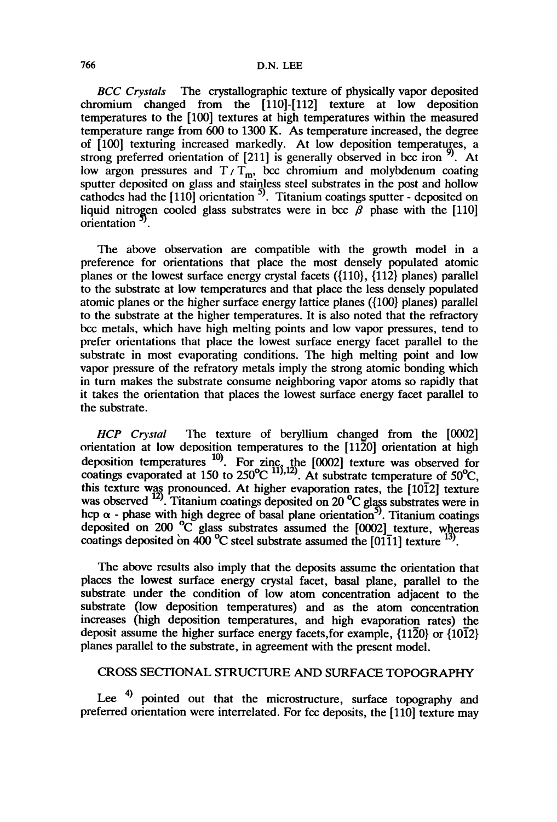#### 766 D.N. LEE

BCC Crystals The crystallographic texture of physically vapor deposited chromium changed from the [110]-[112] texture at low deposition temperatures to the [100] textures at high temperatures within the measured temperature range from 600 to 1300 K. As temperature increased, the degree of [100] texturing increased markedly. At low deposition temperatures, a strong preferred orientation of [211] is generally observed in bcc iron  $\frac{9}{2}$ . At low argon pressures and  $T/T_m$ , bcc chromium and molybdenum coating sputter deposited on glass and stainless steel substrates in the post and hollow cathodes had the [110] orientation  $\frac{3}{2}$ . Titanium coatings sputter - deposited on liquid nitrogen cooled glass substrates were in bcc  $\beta$  phase with the [110] orientation<sup>37</sup>.

The above observation are compatible with the growth model in a preference for orientations that place the most densely populated atomic planes or the lowest surface energy crystal facets ({110}, {112} planes) parallel to the substrate at low temperatures and that place the less densely populated atomic planes or the higher surface energy lattice planes ({100} planes) parallel to the substrate at the higher temperatures. It is also noted that the refractory bcc metals, which have high melting points and low vapor pressures, tend to prefer orientations that place the lowest surface energy facet parallel to the substrate in most evaporating conditions. The high melting point and low vapor pregsure of the refratory metals imply the strong atomic bonding which in turn makes the substrate consume neighboring vapor atoms so rapidly that it takes the orientation that places the lowest surface energy facet parallel to the substrate.

 $HCP$  Crystal The texture of beryllium changed from the  $[0002]$ orientation at low deposition temperatures to the  $[11\overline{2}0]$  orientation at high deposition temperatures  $\frac{10}{2}$ . For zinc, the [0002] texture was observed for coatings evaporated at 150 to 250<sup>o</sup>C  $^{11,12}$ . At substrate temperature of 50<sup>o</sup>C, this texture was pronounced. At higher evaporation rates, the [1012] texture was observed  $^{12}$ . Titanium coatings deposited on 20  $^{\circ}$ C glass substrates were in hcp  $\alpha$  - phase with high degree of basal plane orientation<sup>5)</sup>. Titanium coatings deposited on 200  $^{\circ}$ C glass substrates assumed the [0002] texture, whereas coatings deposited on  $400 \degree C$  steel substrate assumed the [0111] texture  $^{15}$ .

The above results also imply that the deposits assume the orientation that places the lowest surface energy crystal facet, basal plane, parallel to the substrate under the condition of low atom concentration adjacent to the substrate (low deposition temperatures) and as the atom concentration increases (high deposition temperatures, and high evaporation rates) the deposit assume the higher surface energy facets, for example,  $\{11\overline{2}0\}$  or  $\{10\overline{1}2\}$ planes parallel to the substrate, in agreement with the present model.

# CROSS SECTIONAL STRUCTURE AND SURFACE TOPOGRAPHY

Lee <sup>4)</sup> pointed out that the microstructure, surface topography and preferred orientation were interrelated. For fcc deposits, the [110] texture may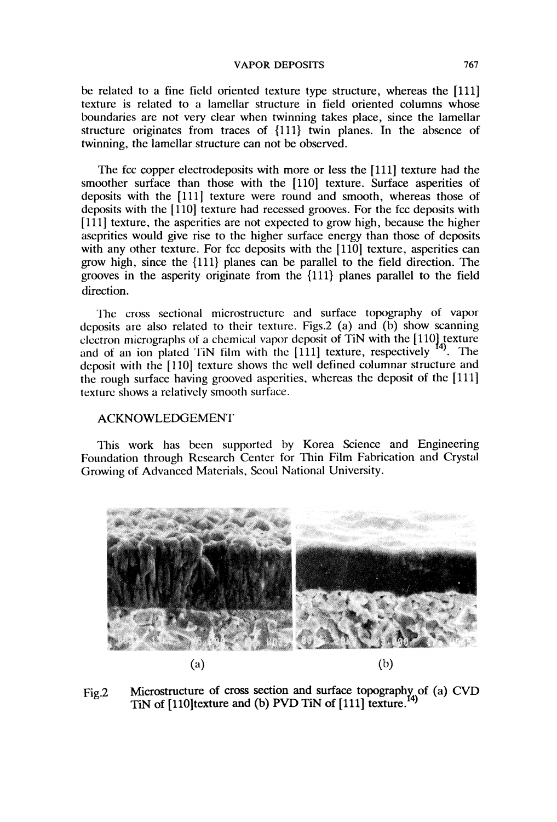be related to a fine field oriented texture type structure, whereas the [111] texture is related to a lamellar structure in field oriented columns whose boundaries are not very clear when twinning takes place, since the lamellar structure originates from traces of {111} twin planes. In the absence of twinning, the lamellar structure can not be observed.

The fcc copper electrodeposits with more or less the [111] texture had the smoother surface than those with the [110] texture. Surface asperities of deposits with the [111] texture were round and smooth, whereas those of deposits with the [1110] texture had recessed grooves. For the fcc deposits with [111] texture, the asperities are not expected to grow high, because the higher aseprities would give rise to the higher surface energy than those of deposits with any other texture. For fcc deposits with the [110] texture, asperities can grow high, since the {111} planes can be parallel to the field direction. The grooves in the asperity originate from the {111} planes parallel to the field direction.

The cross sectional microstructure and surface topography of vapor deposits are also related to their texture. Figs.2 (a) and (b) show scanning electron micrographs of a chemical vapor deposit of TiN with the  $[110]$  texture and of an ion plated TiN film with the  $[111]$  texture, respectively  $^{14}$ . The and of an ion plated TiN film with the  $[111]$  texture, respectively deposit with the [110] texture shows the well defined columnar structure and the rough surface having grooved asperities, whereas the deposit of the [111] texture shows a relatively smooth surface.

# ACKNOWLEDGEMENT

This work has been supported by Korea Science and Engineering Foundation through Research Center for Thin Film Fabrication and Crystal Growing of Advanced Materials, Scoul National University.



Fig.2 Microstructure of cross section and surface topography of (a) CVD TiN of  $[110]$ texture and (b) PVD TiN of  $[111]$  texture.<sup>14)</sup>